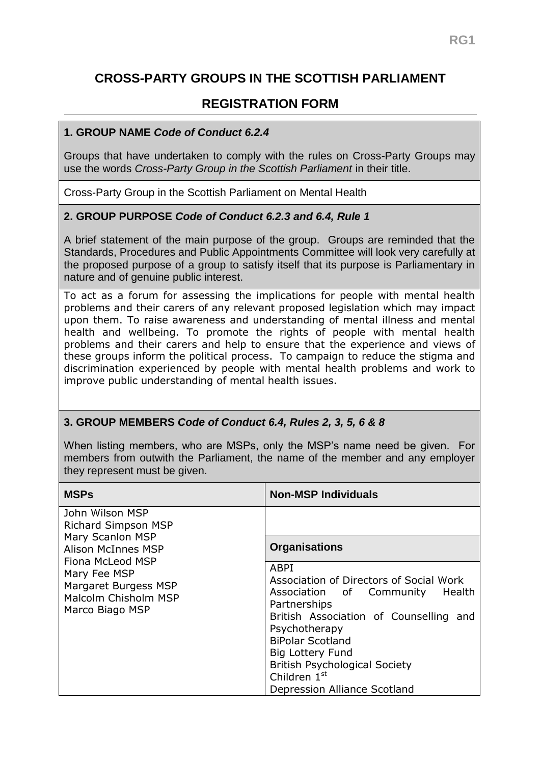# **CROSS-PARTY GROUPS IN THE SCOTTISH PARLIAMENT**

## **REGISTRATION FORM**

### **1. GROUP NAME** *Code of Conduct 6.2.4*

Groups that have undertaken to comply with the rules on Cross-Party Groups may use the words *Cross-Party Group in the Scottish Parliament* in their title.

Cross-Party Group in the Scottish Parliament on Mental Health

### **2. GROUP PURPOSE** *Code of Conduct 6.2.3 and 6.4, Rule 1*

A brief statement of the main purpose of the group. Groups are reminded that the Standards, Procedures and Public Appointments Committee will look very carefully at the proposed purpose of a group to satisfy itself that its purpose is Parliamentary in nature and of genuine public interest.

To act as a forum for assessing the implications for people with mental health problems and their carers of any relevant proposed legislation which may impact upon them. To raise awareness and understanding of mental illness and mental health and wellbeing. To promote the rights of people with mental health problems and their carers and help to ensure that the experience and views of these groups inform the political process. To campaign to reduce the stigma and discrimination experienced by people with mental health problems and work to improve public understanding of mental health issues.

### **3. GROUP MEMBERS** *Code of Conduct 6.4, Rules 2, 3, 5, 6 & 8*

When listing members, who are MSPs, only the MSP's name need be given. For members from outwith the Parliament, the name of the member and any employer they represent must be given.

| <b>MSPs</b>                                                                                                                                                                                    | <b>Non-MSP Individuals</b>                                                                                                                                                                                                                                                                                     |
|------------------------------------------------------------------------------------------------------------------------------------------------------------------------------------------------|----------------------------------------------------------------------------------------------------------------------------------------------------------------------------------------------------------------------------------------------------------------------------------------------------------------|
| John Wilson MSP<br><b>Richard Simpson MSP</b><br>Mary Scanlon MSP<br>Alison McInnes MSP<br>Fiona McLeod MSP<br>Mary Fee MSP<br>Margaret Burgess MSP<br>Malcolm Chisholm MSP<br>Marco Biago MSP |                                                                                                                                                                                                                                                                                                                |
|                                                                                                                                                                                                | <b>Organisations</b>                                                                                                                                                                                                                                                                                           |
|                                                                                                                                                                                                | ABPI<br>Association of Directors of Social Work<br>Health<br>Association of Community<br>Partnerships<br>British Association of Counselling and<br>Psychotherapy<br><b>BiPolar Scotland</b><br><b>Big Lottery Fund</b><br><b>British Psychological Society</b><br>Children 1st<br>Depression Alliance Scotland |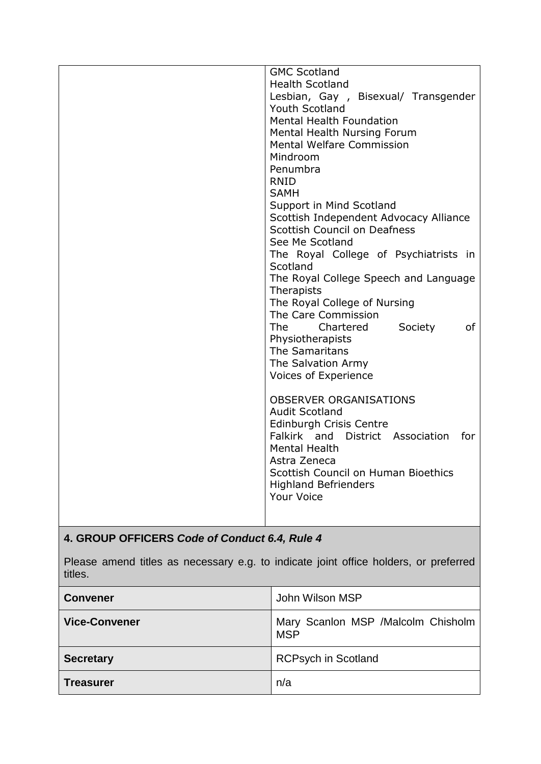| <b>GMC Scotland</b>                      |
|------------------------------------------|
| <b>Health Scotland</b>                   |
| Lesbian, Gay, Bisexual/ Transgender      |
| Youth Scotland                           |
| <b>Mental Health Foundation</b>          |
| Mental Health Nursing Forum              |
| <b>Mental Welfare Commission</b>         |
| Mindroom                                 |
| Penumbra                                 |
| <b>RNID</b>                              |
| <b>SAMH</b>                              |
| Support in Mind Scotland                 |
| Scottish Independent Advocacy Alliance   |
| <b>Scottish Council on Deafness</b>      |
| See Me Scotland                          |
| The Royal College of Psychiatrists in    |
| Scotland                                 |
| The Royal College Speech and Language    |
| Therapists                               |
| The Royal College of Nursing             |
| The Care Commission                      |
| of<br><b>The</b><br>Chartered<br>Society |
| Physiotherapists                         |
| The Samaritans                           |
| The Salvation Army                       |
| Voices of Experience                     |
|                                          |
| <b>OBSERVER ORGANISATIONS</b>            |
| <b>Audit Scotland</b>                    |
| Edinburgh Crisis Centre                  |
| Falkirk and District Association<br>for  |
| <b>Mental Health</b>                     |
| Astra Zeneca                             |
| Scottish Council on Human Bioethics      |
| <b>Highland Befrienders</b>              |
| <b>Your Voice</b>                        |
|                                          |
|                                          |

# **4. GROUP OFFICERS** *Code of Conduct 6.4, Rule 4*

Please amend titles as necessary e.g. to indicate joint office holders, or preferred titles.

| <b>Convener</b>      | John Wilson MSP                                  |
|----------------------|--------------------------------------------------|
| <b>Vice-Convener</b> | Mary Scanlon MSP /Malcolm Chisholm<br><b>MSP</b> |
| <b>Secretary</b>     | <b>RCPsych in Scotland</b>                       |
| <b>Treasurer</b>     | n/a                                              |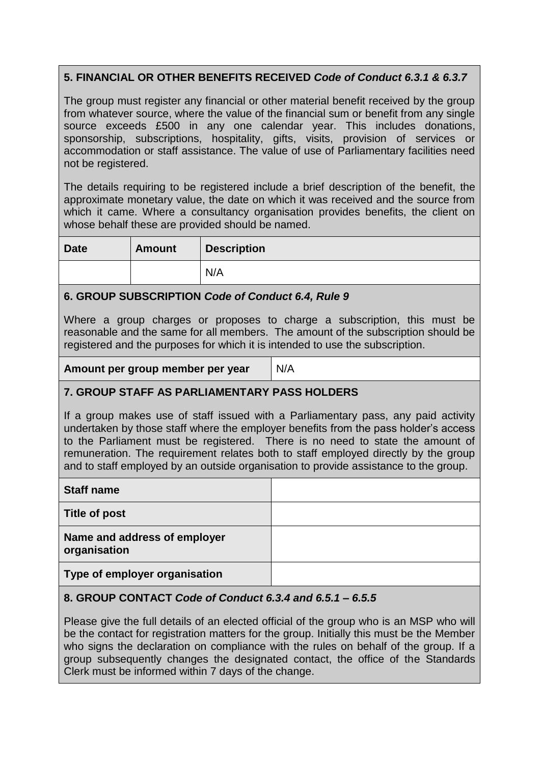## **5. FINANCIAL OR OTHER BENEFITS RECEIVED** *Code of Conduct 6.3.1 & 6.3.7*

The group must register any financial or other material benefit received by the group from whatever source, where the value of the financial sum or benefit from any single source exceeds £500 in any one calendar year. This includes donations, sponsorship, subscriptions, hospitality, gifts, visits, provision of services or accommodation or staff assistance. The value of use of Parliamentary facilities need not be registered.

The details requiring to be registered include a brief description of the benefit, the approximate monetary value, the date on which it was received and the source from which it came. Where a consultancy organisation provides benefits, the client on whose behalf these are provided should be named.

| <b>Date</b> | <b>Amount</b> | <b>Description</b> |
|-------------|---------------|--------------------|
|             |               | N/A                |

### **6. GROUP SUBSCRIPTION** *Code of Conduct 6.4, Rule 9*

Where a group charges or proposes to charge a subscription, this must be reasonable and the same for all members. The amount of the subscription should be registered and the purposes for which it is intended to use the subscription.

**Amount per group member per year** N/A

## **7. GROUP STAFF AS PARLIAMENTARY PASS HOLDERS**

If a group makes use of staff issued with a Parliamentary pass, any paid activity undertaken by those staff where the employer benefits from the pass holder's access to the Parliament must be registered. There is no need to state the amount of remuneration. The requirement relates both to staff employed directly by the group and to staff employed by an outside organisation to provide assistance to the group.

| <b>Staff name</b>                            |  |
|----------------------------------------------|--|
| Title of post                                |  |
| Name and address of employer<br>organisation |  |
| Type of employer organisation                |  |

### **8. GROUP CONTACT** *Code of Conduct 6.3.4 and 6.5.1 – 6.5.5*

Please give the full details of an elected official of the group who is an MSP who will be the contact for registration matters for the group. Initially this must be the Member who signs the declaration on compliance with the rules on behalf of the group. If a group subsequently changes the designated contact, the office of the Standards Clerk must be informed within 7 days of the change.